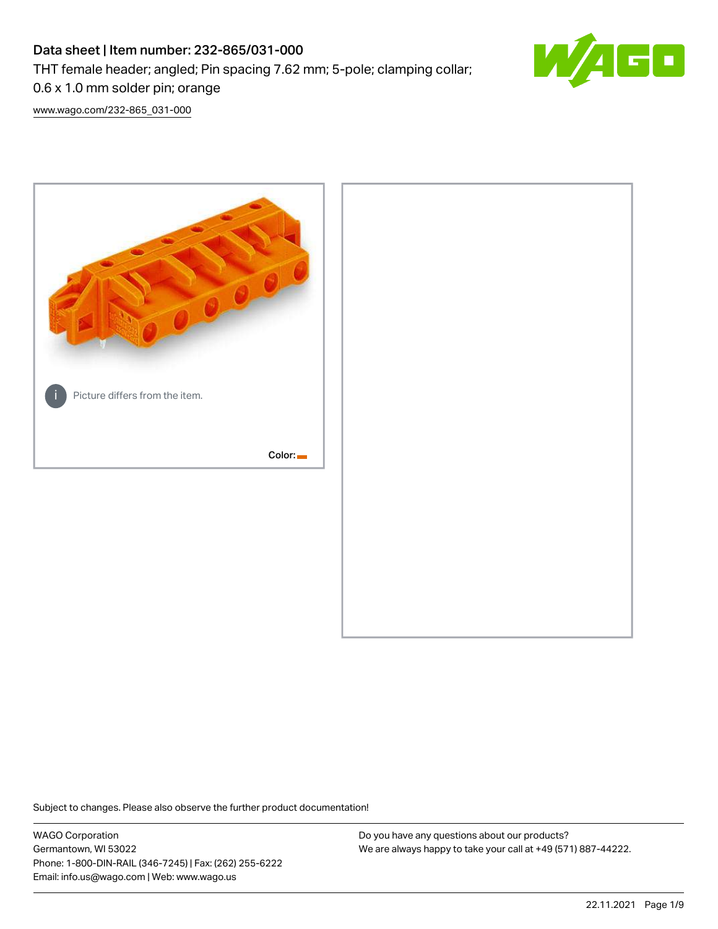# Data sheet | Item number: 232-865/031-000

THT female header; angled; Pin spacing 7.62 mm; 5-pole; clamping collar;



0.6 x 1.0 mm solder pin; orange

[www.wago.com/232-865\\_031-000](http://www.wago.com/232-865_031-000)



Subject to changes. Please also observe the further product documentation!

WAGO Corporation Germantown, WI 53022 Phone: 1-800-DIN-RAIL (346-7245) | Fax: (262) 255-6222 Email: info.us@wago.com | Web: www.wago.us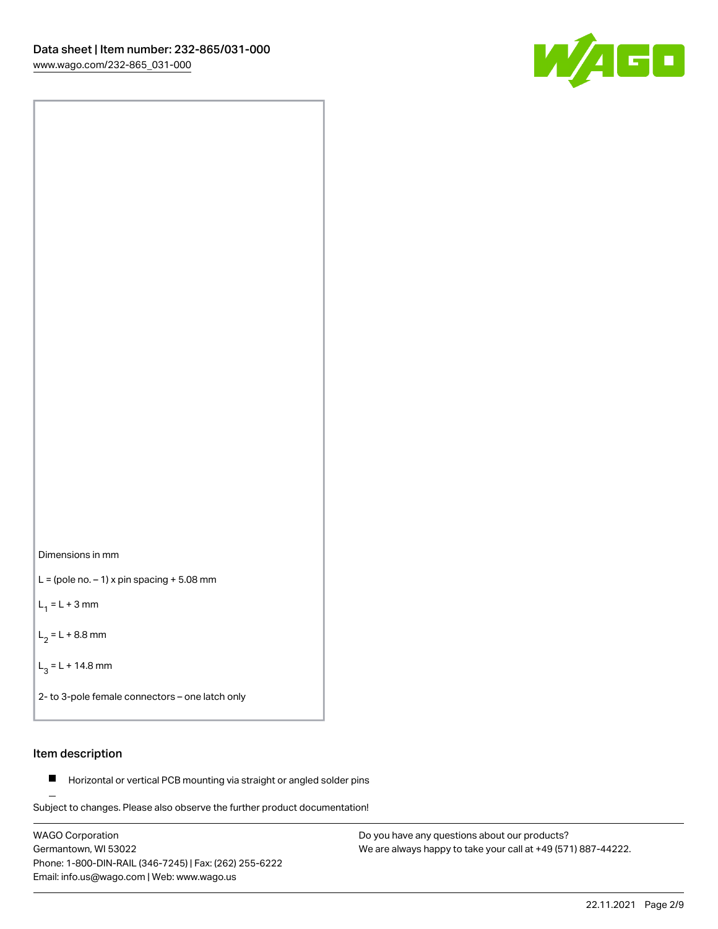



 $L =$  (pole no.  $-1$ ) x pin spacing  $+5.08$  mm

 $L_1 = L + 3$  mm

 $L_2 = L + 8.8$  mm

 $L_3 = L + 14.8$  mm

2- to 3-pole female connectors – one latch only

# Item description

**Horizontal or vertical PCB mounting via straight or angled solder pins** 

Subject to changes. Please also observe the further product documentation! For board-to-board and board-to-wire connections

WAGO Corporation Germantown, WI 53022 Phone: 1-800-DIN-RAIL (346-7245) | Fax: (262) 255-6222 Email: info.us@wago.com | Web: www.wago.us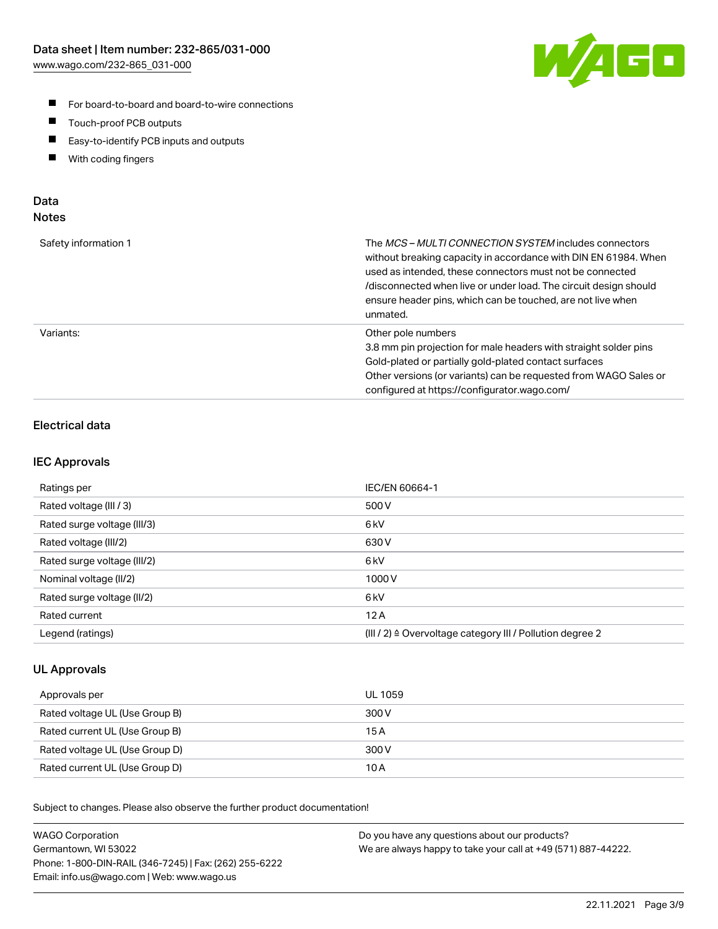

- For board-to-board and board-to-wire connections
- $\blacksquare$ Touch-proof PCB outputs
- $\blacksquare$ Easy-to-identify PCB inputs and outputs
- $\blacksquare$ With coding fingers

# Data **Notes**

| Safety information 1 | The <i>MCS – MULTI CONNECTION SYSTEM</i> includes connectors<br>without breaking capacity in accordance with DIN EN 61984. When<br>used as intended, these connectors must not be connected<br>/disconnected when live or under load. The circuit design should<br>ensure header pins, which can be touched, are not live when<br>unmated. |
|----------------------|--------------------------------------------------------------------------------------------------------------------------------------------------------------------------------------------------------------------------------------------------------------------------------------------------------------------------------------------|
| Variants:            | Other pole numbers<br>3.8 mm pin projection for male headers with straight solder pins<br>Gold-plated or partially gold-plated contact surfaces<br>Other versions (or variants) can be requested from WAGO Sales or<br>configured at https://configurator.wago.com/                                                                        |

# Electrical data

## IEC Approvals

| Ratings per                 | IEC/EN 60664-1                                                        |
|-----------------------------|-----------------------------------------------------------------------|
| Rated voltage (III / 3)     | 500 V                                                                 |
| Rated surge voltage (III/3) | 6kV                                                                   |
| Rated voltage (III/2)       | 630 V                                                                 |
| Rated surge voltage (III/2) | 6 <sub>kV</sub>                                                       |
| Nominal voltage (II/2)      | 1000 V                                                                |
| Rated surge voltage (II/2)  | 6 <sub>kV</sub>                                                       |
| Rated current               | 12A                                                                   |
| Legend (ratings)            | $(III / 2)$ $\triangle$ Overvoltage category III / Pollution degree 2 |

# UL Approvals

| Approvals per                  | UL 1059 |
|--------------------------------|---------|
| Rated voltage UL (Use Group B) | 300 V   |
| Rated current UL (Use Group B) | 15A     |
| Rated voltage UL (Use Group D) | 300 V   |
| Rated current UL (Use Group D) | 10 A    |

Subject to changes. Please also observe the further product documentation!

| <b>WAGO Corporation</b>                                | Do you have any questions about our products?                 |
|--------------------------------------------------------|---------------------------------------------------------------|
| Germantown, WI 53022                                   | We are always happy to take your call at +49 (571) 887-44222. |
| Phone: 1-800-DIN-RAIL (346-7245)   Fax: (262) 255-6222 |                                                               |
| Email: info.us@wago.com   Web: www.wago.us             |                                                               |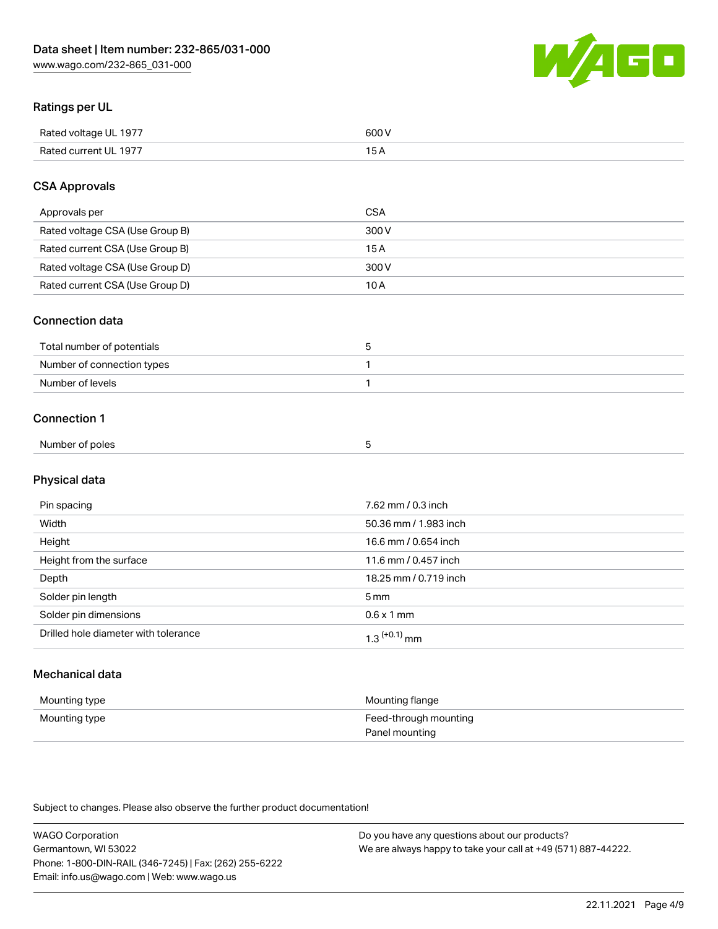

# Ratings per UL

| Rated voltage UL 1977 | soo v<br>วบบ<br>. |
|-----------------------|-------------------|
| Rated current UL 1977 | --                |
|                       | . J <i>r</i>      |

# CSA Approvals

| Approvals per                   | CSA   |
|---------------------------------|-------|
| Rated voltage CSA (Use Group B) | 300 V |
| Rated current CSA (Use Group B) | 15 A  |
| Rated voltage CSA (Use Group D) | 300 V |
| Rated current CSA (Use Group D) | 10 A  |

### Connection data

| Total number of potentials |  |
|----------------------------|--|
| Number of connection types |  |
| Number of levels           |  |

### Connection 1

| Number of poles |  |  |
|-----------------|--|--|
|                 |  |  |

# Physical data

| Pin spacing                          | 7.62 mm / 0.3 inch    |
|--------------------------------------|-----------------------|
| Width                                | 50.36 mm / 1.983 inch |
| Height                               | 16.6 mm / 0.654 inch  |
| Height from the surface              | 11.6 mm / 0.457 inch  |
| Depth                                | 18.25 mm / 0.719 inch |
| Solder pin length                    | 5 <sub>mm</sub>       |
| Solder pin dimensions                | $0.6 \times 1$ mm     |
| Drilled hole diameter with tolerance | $1.3$ $(+0.1)$ mm     |

# Mechanical data

| Mounting type | Mounting flange                         |
|---------------|-----------------------------------------|
| Mounting type | Feed-through mounting<br>Panel mounting |

Subject to changes. Please also observe the further product documentation!

| <b>WAGO Corporation</b>                                | Do you have any questions about our products?                 |
|--------------------------------------------------------|---------------------------------------------------------------|
| Germantown, WI 53022                                   | We are always happy to take your call at +49 (571) 887-44222. |
| Phone: 1-800-DIN-RAIL (346-7245)   Fax: (262) 255-6222 |                                                               |
| Email: info.us@wago.com   Web: www.wago.us             |                                                               |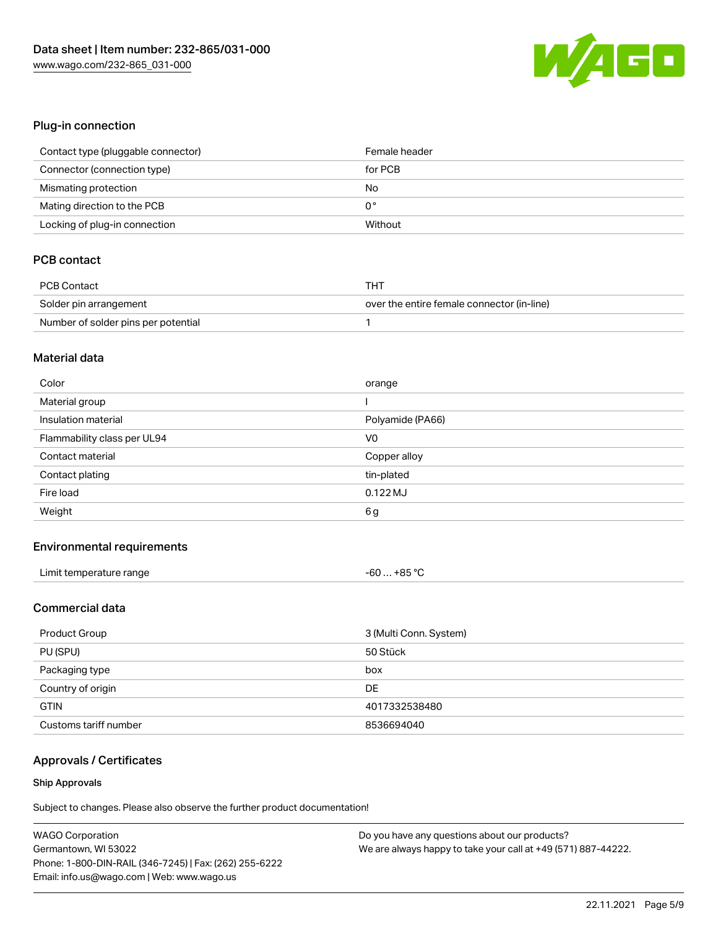

# Plug-in connection

| Contact type (pluggable connector) | Female header |
|------------------------------------|---------------|
| Connector (connection type)        | for PCB       |
| Mismating protection               | No            |
| Mating direction to the PCB        | 0°            |
| Locking of plug-in connection      | Without       |

# PCB contact

| <b>PCB Contact</b>                  | THT                                        |
|-------------------------------------|--------------------------------------------|
| Solder pin arrangement              | over the entire female connector (in-line) |
| Number of solder pins per potential |                                            |

#### Material data

| Color                       | orange           |
|-----------------------------|------------------|
| Material group              |                  |
| Insulation material         | Polyamide (PA66) |
| Flammability class per UL94 | V <sub>0</sub>   |
| Contact material            | Copper alloy     |
|                             |                  |
| Contact plating             | tin-plated       |
| Fire load                   | $0.122$ MJ       |

### Environmental requirements

| Limit temperature range | $-60+85 °C$ |
|-------------------------|-------------|
| .                       |             |

# Commercial data

| Product Group         | 3 (Multi Conn. System) |
|-----------------------|------------------------|
| PU (SPU)              | 50 Stück               |
| Packaging type        | box                    |
| Country of origin     | DE                     |
| <b>GTIN</b>           | 4017332538480          |
| Customs tariff number | 8536694040             |

# Approvals / Certificates

#### Ship Approvals

Subject to changes. Please also observe the further product documentation!

| <b>WAGO Corporation</b>                                | Do you have any questions about our products?                 |
|--------------------------------------------------------|---------------------------------------------------------------|
| Germantown, WI 53022                                   | We are always happy to take your call at +49 (571) 887-44222. |
| Phone: 1-800-DIN-RAIL (346-7245)   Fax: (262) 255-6222 |                                                               |
| Email: info.us@wago.com   Web: www.wago.us             |                                                               |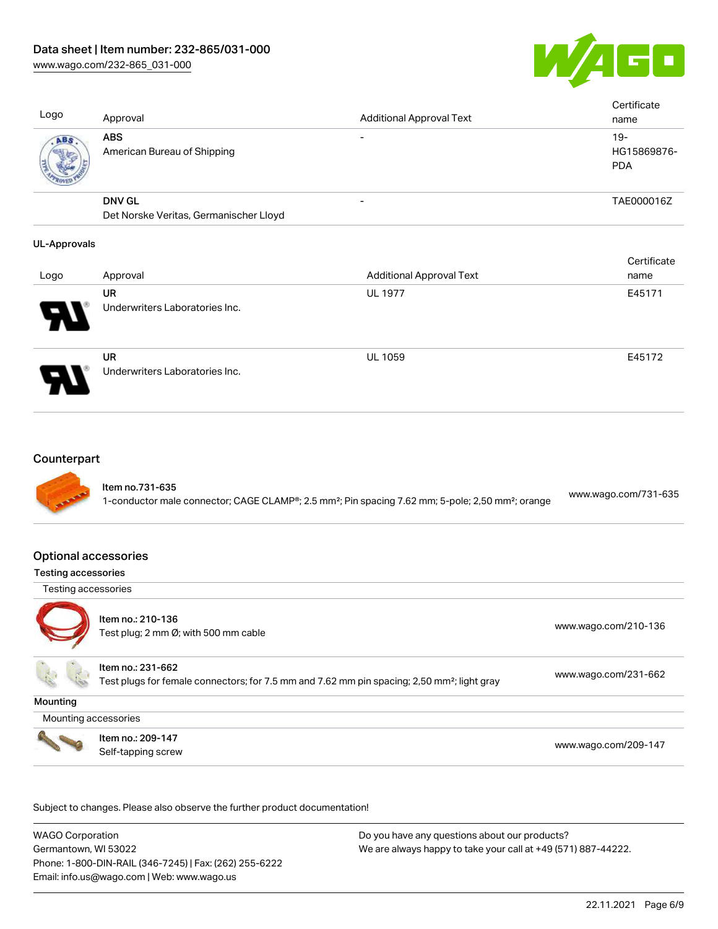

Cortificate

Logo Approval Approval Additional Approval Text **Certificate** name ABS American Bureau of Shipping - 19-HG15869876- PDA DNV GL Det Norske Veritas, Germanischer Lloyd - TAE000016Z

### UL-Approvals

|                            |                                      |                                 | <b>CELUILLATE</b> |
|----------------------------|--------------------------------------|---------------------------------|-------------------|
| Logo                       | Approval                             | <b>Additional Approval Text</b> | name              |
|                            | UR                                   | <b>UL 1977</b>                  | E45171            |
| $\boldsymbol{\mathcal{P}}$ | Underwriters Laboratories Inc.       |                                 |                   |
| 9.                         | UR<br>Underwriters Laboratories Inc. | <b>UL 1059</b>                  | E45172            |

### **Counterpart**



## Optional accessories

### Testing accessories

Testing accessories



Item no.: 210-136 ntem no.: 210 100<br>Test plug; 2 mm Ø; with 500 mm cable [www.wago.com/210-136](http://www.wago.com/210-136)

Item no.: 231-662 Test plugs for female connectors; for 7.5 mm and 7.62 mm pin spacing; 2,50 mm²; light gray [www.wago.com/231-662](http://www.wago.com/231-662)

**Mounting** 

Mounting accessories



Item no.: 209-147 Next Trefficient Control 2001 147<br>Self-tapping screw [www.wago.com/209-147](http://www.wago.com/209-147)

Subject to changes. Please also observe the further product documentation!

WAGO Corporation Germantown, WI 53022 Phone: 1-800-DIN-RAIL (346-7245) | Fax: (262) 255-6222 Email: info.us@wago.com | Web: www.wago.us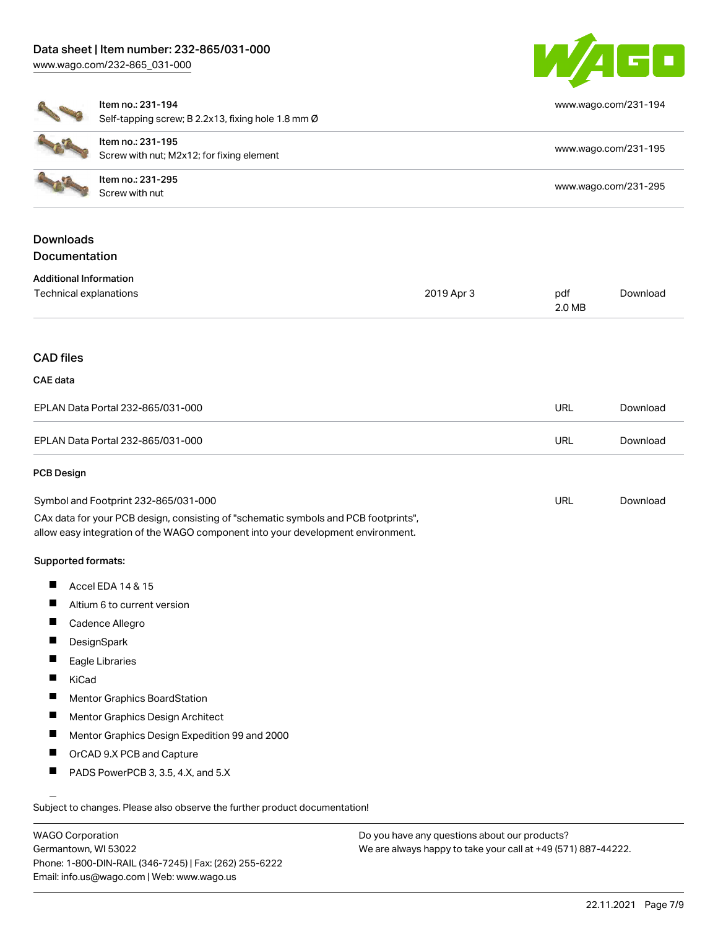

[www.wago.com/231-194](http://www.wago.com/231-194)

| ٠ | It |
|---|----|
|   | S  |
|   | It |

Item no.: 231-194

Self-tapping screw; B 2.2x13, fixing hole 1.8 mm Ø

| Item no.: 231-195<br>Screw with nut; M2x12; for fixing element | www.wago.com/231-195 |
|----------------------------------------------------------------|----------------------|
| ltem no.: 231-295<br>Screw with nut                            | www.wago.com/231-295 |

# Downloads **Documentation**

| <b>Additional Information</b> |  |
|-------------------------------|--|
|-------------------------------|--|

| Technical explanations                                                                                                                                                 | 2019 Apr 3 | pdf<br>2.0 MB | Download |
|------------------------------------------------------------------------------------------------------------------------------------------------------------------------|------------|---------------|----------|
|                                                                                                                                                                        |            |               |          |
| <b>CAD files</b>                                                                                                                                                       |            |               |          |
| CAE data                                                                                                                                                               |            |               |          |
| EPLAN Data Portal 232-865/031-000                                                                                                                                      |            | <b>URL</b>    | Download |
| EPLAN Data Portal 232-865/031-000                                                                                                                                      |            | <b>URL</b>    | Download |
| <b>PCB Design</b>                                                                                                                                                      |            |               |          |
| Symbol and Footprint 232-865/031-000                                                                                                                                   |            | <b>URL</b>    | Download |
| CAx data for your PCB design, consisting of "schematic symbols and PCB footprints",<br>allow easy integration of the WAGO component into your development environment. |            |               |          |
| Supported formats:                                                                                                                                                     |            |               |          |

- П Accel EDA 14 & 15
- $\blacksquare$ Altium 6 to current version
- $\blacksquare$ Cadence Allegro
- **DesignSpark**  $\blacksquare$
- $\blacksquare$ Eagle Libraries
- $\blacksquare$ KiCad
- $\blacksquare$ Mentor Graphics BoardStation
- $\blacksquare$ Mentor Graphics Design Architect
- $\blacksquare$ Mentor Graphics Design Expedition 99 and 2000
- $\blacksquare$ OrCAD 9.X PCB and Capture
- П PADS PowerPCB 3, 3.5, 4.X, and 5.X

Subject to changes. Please also observe the further product documentation!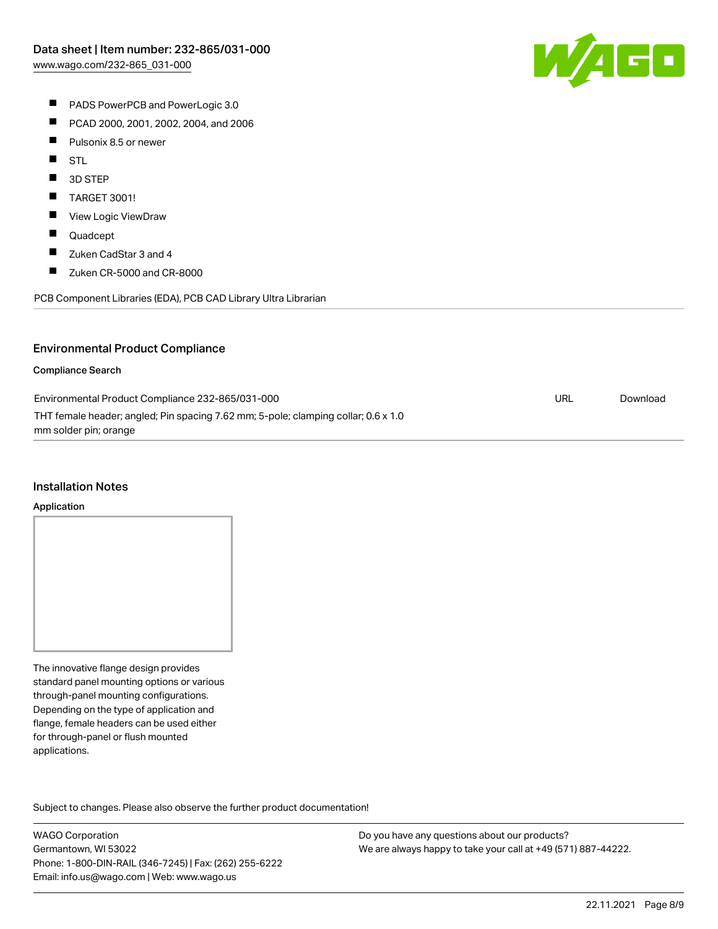

- **PADS PowerPCB and PowerLogic 3.0**
- $\blacksquare$ PCAD 2000, 2001, 2002, 2004, and 2006
- $\blacksquare$ Pulsonix 8.5 or newer
- $\blacksquare$ STL
- $\blacksquare$ 3D STEP
- $\blacksquare$ TARGET 3001!
- $\blacksquare$ View Logic ViewDraw
- $\blacksquare$ Quadcept
- $\blacksquare$ Zuken CadStar 3 and 4
- $\blacksquare$ Zuken CR-5000 and CR-8000

PCB Component Libraries (EDA), PCB CAD Library Ultra Librarian

### Environmental Product Compliance

#### Compliance Search

| Environmental Product Compliance 232-865/031-000                                   | URL | Download |
|------------------------------------------------------------------------------------|-----|----------|
| THT female header; angled; Pin spacing 7.62 mm; 5-pole; clamping collar; 0.6 x 1.0 |     |          |
| mm solder pin; orange                                                              |     |          |

#### Installation Notes

#### Application

The innovative flange design provides standard panel mounting options or various through-panel mounting configurations. Depending on the type of application and flange, female headers can be used either for through-panel or flush mounted applications.

Subject to changes. Please also observe the further product documentation! Product family

WAGO Corporation Germantown, WI 53022 Phone: 1-800-DIN-RAIL (346-7245) | Fax: (262) 255-6222 Email: info.us@wago.com | Web: www.wago.us